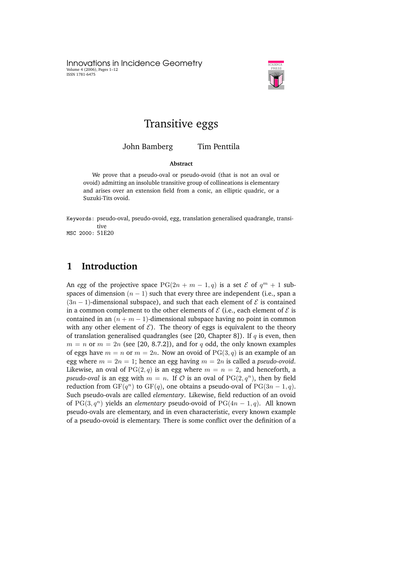Innovations in Incidence Geometry Volume 4 (2006), Pages 1–12 ISSN 1781-6475



# Transitive eggs

John Bamberg Tim Penttila

#### **Abstract**

We prove that a pseudo-oval or pseudo-ovoid (that is not an oval or ovoid) admitting an insoluble transitive group of collineations is elementary and arises over an extension field from a conic, an elliptic quadric, or a Suzuki-Tits ovoid.

Keywords: pseudo-oval, pseudo-ovoid, egg, translation generalised quadrangle, transitive MSC 2000: 51E20

# **1 Introduction**

An *egg* of the projective space  $PG(2n + m - 1, q)$  is a set  $\mathcal{E}$  of  $q^m + 1$  subspaces of dimension  $(n - 1)$  such that every three are independent (i.e., span a  $(3n - 1)$ -dimensional subspace), and such that each element of  $\mathcal E$  is contained in a common complement to the other elements of  $\mathcal E$  (i.e., each element of  $\mathcal E$  is contained in an  $(n + m - 1)$ -dimensional subspace having no point in common with any other element of  $\mathcal{E}$ ). The theory of eggs is equivalent to the theory of translation generalised quadrangles (see [20, Chapter 8]). If  $q$  is even, then  $m = n$  or  $m = 2n$  (see [20, 8.7.2]), and for q odd, the only known examples of eggs have  $m = n$  or  $m = 2n$ . Now an ovoid of PG(3, q) is an example of an egg where  $m = 2n = 1$ ; hence an egg having  $m = 2n$  is called a *pseudo-ovoid*. Likewise, an oval of  $PG(2, q)$  is an egg where  $m = n = 2$ , and henceforth, a *pseudo-oval* is an egg with  $m = n$ . If  $O$  is an oval of  $PG(2, q^n)$ , then by field reduction from  $GF(q^n)$  to  $GF(q)$ , one obtains a pseudo-oval of  $PG(3n-1, q)$ . Such pseudo-ovals are called *elementary*. Likewise, field reduction of an ovoid of  $PG(3, q^n)$  yields an *elementary* pseudo-ovoid of  $PG(4n - 1, q)$ . All known pseudo-ovals are elementary, and in even characteristic, every known example of a pseudo-ovoid is elementary. There is some conflict over the definition of a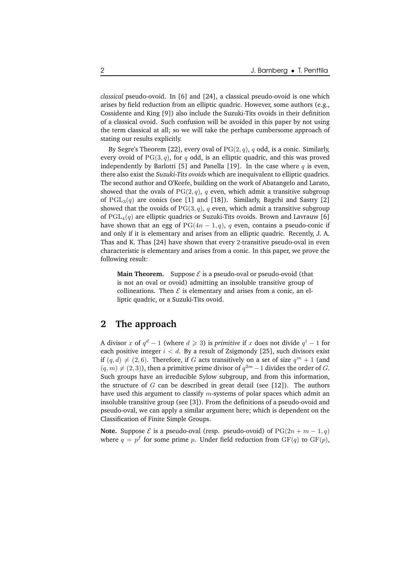*classical* pseudo-ovoid. In [6] and [24], a classical pseudo-ovoid is one which arises by field reduction from an elliptic quadric. However, some authors (e.g., Cossidente and King [9]) also include the Suzuki-Tits ovoids in their definition of a classical ovoid. Such confusion will be avoided in this paper by not using the term classical at all; so we will take the perhaps cumbersome approach of stating our results explicitly.

By Segre's Theorem [22], every oval of  $PG(2, q)$ , q odd, is a conic. Similarly, every ovoid of  $PG(3, q)$ , for q odd, is an elliptic quadric, and this was proved independently by Barlotti [5] and Panella [19]. In the case where  $q$  is even, there also exist the *Suzuki-Tits ovoids* which are inequivalent to elliptic quadrics. The second author and O'Keefe, building on the work of Abatangelo and Larato, showed that the ovals of  $PG(2, q)$ , q even, which admit a transitive subgroup of  $PGL<sub>3</sub>(q)$  are conics (see [1] and [18]). Similarly, Bagchi and Sastry [2] showed that the ovoids of  $PG(3, q)$ , q even, which admit a transitive subgroup of  $PGL_4(q)$  are elliptic quadrics or Suzuki-Tits ovoids. Brown and Lavrauw [6] have shown that an egg of  $PG(4n - 1, q)$ , q even, contains a pseudo-conic if and only if it is elementary and arises from an elliptic quadric. Recently, J. A. Thas and K. Thas [24] have shown that every 2-transitive pseudo-oval in even characteristic is elementary and arises from a conic. In this paper, we prove the following result:

**Main Theorem.** Suppose  $\mathcal{E}$  is a pseudo-oval or pseudo-ovoid (that is not an oval or ovoid) admitting an insoluble transitive group of collineations. Then  $\mathcal E$  is elementary and arises from a conic, an elliptic quadric, or a Suzuki-Tits ovoid.

# **2 The approach**

A divisor x of  $q^d - 1$  (where  $d \geqslant 3$ ) is *primitive* if x does not divide  $q^i - 1$  for each positive integer  $i < d$ . By a result of Zsigmondy [25], such divisors exist if  $(q, d) \neq (2, 6)$ . Therefore, if G acts transitively on a set of size  $q^m + 1$  (and  $(q, m) \neq (2, 3)$ , then a primitive prime divisor of  $q^{2m} - 1$  divides the order of G. Such groups have an irreducible Sylow subgroup, and from this information, the structure of  $G$  can be described in great detail (see [12]). The authors have used this argument to classify  $m$ -systems of polar spaces which admit an insoluble transitive group (see [3]). From the definitions of a pseudo-ovoid and pseudo-oval, we can apply a similar argument here; which is dependent on the Classification of Finite Simple Groups.

**Note.** Suppose  $\mathcal E$  is a pseudo-oval (resp. pseudo-ovoid) of  $PG(2n + m - 1, q)$ where  $q = p^f$  for some prime p. Under field reduction from  $GF(q)$  to  $GF(p)$ ,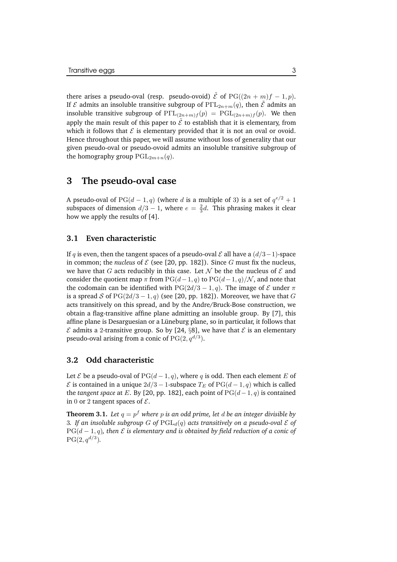there arises a pseudo-oval (resp. pseudo-ovoid)  $\tilde{\mathcal{E}}$  of PG( $(2n + m)f - 1, p$ ). If  $\mathcal E$  admits an insoluble transitive subgroup of  $\text{P}\Gamma \text{L}_{2n+m}(q)$ , then  $\tilde{\mathcal E}$  admits an insoluble transitive subgroup of  $P\Gamma L_{(2n+m)f}(p) = PGL_{(2n+m)f}(p)$ . We then apply the main result of this paper to  $\tilde{\mathcal{E}}$  to establish that it is elementary, from which it follows that  $\mathcal E$  is elementary provided that it is not an oval or ovoid. Hence throughout this paper, we will assume without loss of generality that our given pseudo-oval or pseudo-ovoid admits an insoluble transitive subgroup of the homography group  $PGL_{2m+n}(q)$ .

## **3 The pseudo-oval case**

A pseudo-oval of PG( $d-1, q$ ) (where d is a multiple of 3) is a set of  $q^{e/2} + 1$ subspaces of dimension  $d/3 - 1$ , where  $e = \frac{2}{3}d$ . This phrasing makes it clear how we apply the results of [4].

### **3.1 Even characteristic**

If q is even, then the tangent spaces of a pseudo-oval  $\mathcal E$  all have a  $(d/3-1)$ -space in common; the *nucleus* of  $\mathcal E$  (see [20, pp. 182]). Since G must fix the nucleus, we have that G acts reducibly in this case. Let  $\mathcal N$  be the the nucleus of  $\mathcal E$  and consider the quotient map  $\pi$  from PG( $(d-1, q)$  to PG( $(d-1, q)/N$ , and note that the codomain can be identified with PG(2d/3 – 1, q). The image of  $\mathcal E$  under  $\pi$ is a spread S of PG( $2d/3 - 1$ , q) (see [20, pp. 182]). Moreover, we have that G acts transitively on this spread, and by the Andre/Bruck-Bose construction, we obtain a flag-transitive affine plane admitting an insoluble group. By [7], this affine plane is Desarguesian or a Lüneburg plane, so in particular, it follows that  $\mathcal E$  admits a 2-transitive group. So by [24, §8], we have that  $\mathcal E$  is an elementary pseudo-oval arising from a conic of  $\mathrm{PG}(2,q^{d/3}).$ 

### **3.2 Odd characteristic**

Let  $\mathcal E$  be a pseudo-oval of  $PG(d-1, q)$ , where q is odd. Then each element E of  $\mathcal E$  is contained in a unique  $2d/3 - 1$ -subspace  $T_E$  of PG( $d - 1, q$ ) which is called the *tangent space* at E. By [20, pp. 182], each point of  $PG(d-1, q)$  is contained in 0 or 2 tangent spaces of  $\mathcal{E}$ .

**Theorem 3.1.** *Let* q = p <sup>f</sup> *where* p *is an odd prime, let* d *be an integer divisible by* 3. If an insoluble subgroup G of  $\text{PGL}_d(q)$  acts transitively on a pseudo-oval E of  $PG(d-1, q)$ , *then*  $\mathcal{E}$  *is elementary and is obtained by field reduction of a conic of*  $PG(2, q^{d/3}).$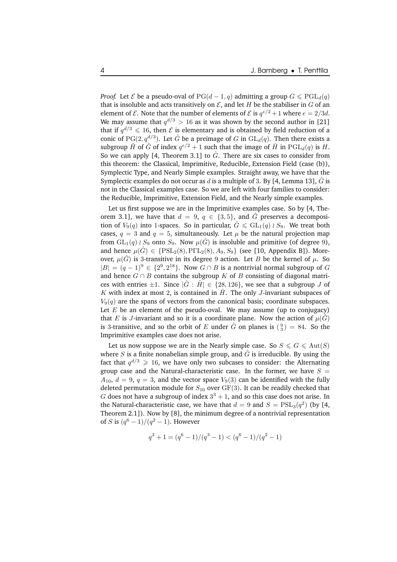*Proof.* Let *E* be a pseudo-oval of  $PG(d-1,q)$  admitting a group  $G \leq PGL_d(q)$ that is insoluble and acts transitively on  $\mathcal E$ , and let H be the stabiliser in G of an element of  $\mathcal E$ . Note that the number of elements of  $\mathcal E$  is  $q^{e/2} + 1$  where  $e = 2/3d$ . We may assume that  $q^{d/3} > 16$  as it was shown by the second author in [21] that if  $q^{d/3} \leq 16$ , then  $\mathcal E$  is elementary and is obtained by field reduction of a conic of  $\mathrm{PG}(2,q^{d/3})$ . Let  $\hat{G}$  be a preimage of  $G$  in  $\mathrm{GL}_d(q).$  Then there exists a subgroup  $\hat{H}$  of  $\hat{G}$  of index  $q^{e/2}+1$  such that the image of  $\hat{H}$  in  $\mathrm{PGL}_d(q)$  is  $H.$ So we can apply [4, Theorem 3.1] to  $\hat{G}$ . There are six cases to consider from this theorem: the Classical, Imprimitive, Reducible, Extension Field (case (b)), Symplectic Type, and Nearly Simple examples. Straight away, we have that the Symplectic examples do not occur as d is a multiple of 3. By [4, Lemma 13],  $\hat{G}$  is not in the Classical examples case. So we are left with four families to consider: the Reducible, Imprimitive, Extension Field, and the Nearly simple examples.

Let us first suppose we are in the Imprimitive examples case. So by [4, Theorem 3.1], we have that  $d = 9$ ,  $q \in \{3, 5\}$ , and  $\hat{G}$  preserves a decomposition of  $V_9(q)$  into 1-spaces. So in particular,  $\hat{G} \leq \text{GL}_1(q) \wr S_9$ . We treat both cases,  $q = 3$  and  $q = 5$ , simultaneously. Let  $\mu$  be the natural projection map from  $GL_1(q) \wr S_9$  onto  $S_9$ . Now  $\mu(\hat{G})$  is insoluble and primitive (of degree 9), and hence  $\mu(\hat{G}) \in \{PSL_2(8), P\Gamma L_2(8), A_9, S_9\}$  (see [10, Appendix B]). Moreover,  $\mu(\hat{G})$  is 3-transitive in its degree 9 action. Let B be the kernel of  $\mu$ . So  $|B| = (q-1)^9 \in \{2^9, 2^{18}\}.$  Now  $G \cap B$  is a nontrivial normal subgroup of  $G$ and hence  $G \cap B$  contains the subgroup K of B consisting of diagonal matrices with entries  $\pm 1$ . Since  $|\hat{G} : \hat{H}| \in \{28, 126\}$ , we see that a subgroup J of K with index at most 2, is contained in  $\hat{H}$ . The only J-invariant subspaces of  $V_9(q)$  are the spans of vectors from the canonical basis; coordinate subspaces. Let  $E$  be an element of the pseudo-oval. We may assume (up to conjugacy) that E is J-invariant and so it is a coordinate plane. Now the action of  $\mu(\hat{G})$ is 3-transitive, and so the orbit of E under  $\hat{G}$  on planes is  $\binom{9}{3} = 84$ . So the Imprimitive examples case does not arise.

Let us now suppose we are in the Nearly simple case. So  $S \le G \le \text{Aut}(S)$ where S is a finite nonabelian simple group, and  $\hat{G}$  is irreducible. By using the fact that  $q^{d/3} \geqslant 16,$  we have only two subcases to consider: the Alternating group case and the Natural-characteristic case. In the former, we have  $S =$  $A_{10}$ ,  $d = 9$ ,  $q = 3$ , and the vector space  $V_9(3)$  can be identified with the fully deleted permutation module for  $S_{10}$  over GF(3). It can be readily checked that G does not have a subgroup of index  $3^3 + 1$ , and so this case does not arise. In the Natural-characteristic case, we have that  $d = 9$  and  $S = \text{PSL}_3(q^2)$  (by [4, Theorem 2.1]). Now by [8], the minimum degree of a nontrivial representation of *S* is  $(q^6 - 1)/(q^2 - 1)$ . However

$$
q^3 + 1 = (q^6 - 1)/(q^3 - 1) < (q^6 - 1)/(q^2 - 1)
$$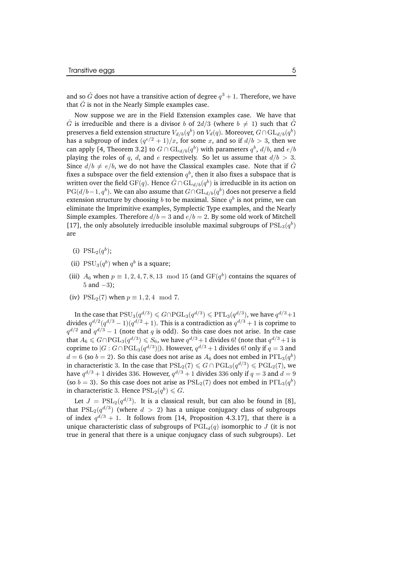and so  $\hat{G}$  does not have a transitive action of degree  $q^3+1.$  Therefore, we have that  $\hat{G}$  is not in the Nearly Simple examples case.

Now suppose we are in the Field Extension examples case. We have that  $\hat{G}$  is irreducible and there is a divisor b of  $2d/3$  (where  $b \neq 1$ ) such that  $\hat{G}$ preserves a field extension structure  $V_{d/b}(q^b)$  on  $V_d(q)$ . Moreover,  $G \cap \mathrm{GL}_{d/b}(q^b)$ has a subgroup of index  $(q^{e/2} + 1)/x$ , for some x, and so if  $d/b > 3$ , then we can apply [4, Theorem 3.2] to  $G \cap \mathrm{GL}_{d/b}(q^{b})$  with parameters  $q^{b},$   $d/b,$  and  $e/b$ playing the roles of q, d, and e respectively. So let us assume that  $d/b > 3$ . Since  $d/b \neq e/b$ , we do not have the Classical examples case. Note that if  $\hat{G}$ fixes a subspace over the field extension  $q^b$ , then it also fixes a subspace that is written over the field  $\mathrm{GF}(q).$  Hence  $\hat{G} \cap \mathrm{GL}_{d/b}(q^b)$  is irreducible in its action on  $PG(d/b-1, q^b)$ . We can also assume that  $G \cap \mathrm{GL}_{d/b}(q^b)$  does not preserve a field extension structure by choosing  $b$  to be maximal. Since  $q^b$  is not prime, we can eliminate the Imprimitive examples, Symplectic Type examples, and the Nearly Simple examples. Therefore  $d/b = 3$  and  $e/b = 2$ . By some old work of Mitchell [17], the only absolutely irreducible insoluble maximal subgroups of  $\text{PSL}_3(q^b)$ are

- (i)  $PSL_2(q^b)$ ;
- (ii)  $PSU_3(q^b)$  when  $q^b$  is a square;
- (iii)  $A_6$  when  $p \equiv 1, 2, 4, 7, 8, 13 \mod 15$  (and  $GF(q^b)$  contains the squares of 5 and −3);
- (iv) PSL<sub>2</sub>(7) when  $p \equiv 1, 2, 4 \mod 7$ .

In the case that  $PSU_3(q^{d/3}) \le G \cap \mathrm{PGL}_3(q^{d/3}) \le P\Gamma L_3(q^{d/3})$ , we have  $q^{d/3}+1$ divides  $q^{d/2}(q^{d/3}-1)(q^{d/2}+1)$ . This is a contradiction as  $q^{d/3}+1$  is coprime to  $q^{d/2}$  and  $q^{d/3} - 1$  (note that q is odd). So this case does not arise. In the case that  $A_6 \leq G \cap \mathrm{PGL}_3(q^{d/3}) \leq S_6$ , we have  $q^{d/3}+1$  divides 6! (note that  $q^{d/3}+1$  is coprime to  $|G:G \cap \mathrm{PGL}_3(q^{d/3})|$ ). However,  $q^{d/3} + 1$  divides 6! only if  $q = 3$  and  $d = 6$  (so  $b = 2$ ). So this case does not arise as  $A_6$  does not embed in  $\text{P}\Gamma\text{L}_3(q^b)$ in characteristic 3. In the case that  $PSL_2(7) \le G \cap PGL_3(q^{d/3}) \le PGL_2(7)$ , we have  $q^{d/3}+1$  divides 336. However,  $q^{d/3}+1$  divides 336 only if  $q=3$  and  $d=9$ (so  $b = 3$ ). So this case does not arise as  $PSL_2(7)$  does not embed in  $P\Gamma L_3(q^b)$ in characteristic 3. Hence  $\mathrm{PSL}_2(q^b) \leqslant G.$ 

Let  $J = \mathrm{PSL}_2(q^{d/3})$ . It is a classical result, but can also be found in [8], that  $\mathrm{PSL}_2(q^{d/3})$  (where  $d$   $>$   $2)$  has a unique conjugacy class of subgroups of index  $q^{d/3} + 1$ . It follows from [14, Proposition 4.3.17], that there is a unique characteristic class of subgroups of  $PGL_d(q)$  isomorphic to J (it is not true in general that there is a unique conjugacy class of such subgroups). Let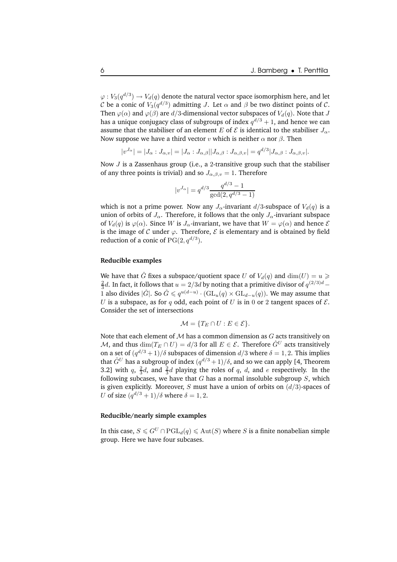$\varphi: V_3(q^{d/3}) \to V_d(q)$  denote the natural vector space isomorphism here, and let C be a conic of  $V_3(q^{d/3})$  admitting J. Let  $\alpha$  and  $\beta$  be two distinct points of C. Then  $\varphi(\alpha)$  and  $\varphi(\beta)$  are  $d/3$ -dimensional vector subspaces of  $V_d(q)$ . Note that J has a unique conjugacy class of subgroups of index  $q^{d/3}+1$ , and hence we can assume that the stabiliser of an element E of  $\mathcal E$  is identical to the stabiliser  $J_\alpha$ . Now suppose we have a third vector v which is neither  $\alpha$  nor  $\beta$ . Then

$$
|v^{J_{\alpha}}| = |J_{\alpha} : J_{\alpha,v}| = |J_{\alpha} : J_{\alpha,\beta}||J_{\alpha,\beta} : J_{\alpha,\beta,v}| = q^{d/3}|J_{\alpha,\beta} : J_{\alpha,\beta,v}|.
$$

Now  $J$  is a Zassenhaus group (i.e., a 2-transitive group such that the stabiliser of any three points is trivial) and so  $J_{\alpha,\beta,\nu} = 1$ . Therefore

$$
|v^{J_\alpha}|=q^{d/3}\frac{q^{d/3}-1}{\gcd(2,q^{d/3}-1)}
$$

which is not a prime power. Now any  $J_{\alpha}$ -invariant  $d/3$ -subspace of  $V_d(q)$  is a union of orbits of  $J_{\alpha}$ . Therefore, it follows that the only  $J_{\alpha}$ -invariant subspace of  $V_d(q)$  is  $\varphi(\alpha)$ . Since W is  $J_\alpha$ -invariant, we have that  $W = \varphi(\alpha)$  and hence  $\mathcal E$ is the image of C under  $\varphi$ . Therefore,  $\mathcal E$  is elementary and is obtained by field reduction of a conic of  $PG(2, q^{d/3})$ .

### **Reducible examples**

We have that  $\hat{G}$  fixes a subspace/quotient space U of  $V_d(q)$  and  $\dim(U) = u \geq$  $\frac{2}{3}d$ . In fact, it follows that  $u = 2/3d$  by noting that a primitive divisor of  $q^{(2/3)d}$  – 1 also divides  $|\hat{G}|$ . So  $\hat{G} \leq q^{u(d-u)} \cdot (\mathrm{GL}_u(q) \times \mathrm{GL}_{d-u}(q))$ . We may assume that U is a subspace, as for q odd, each point of U is in 0 or 2 tangent spaces of  $\mathcal{E}$ . Consider the set of intersections

$$
\mathcal{M} = \{ T_E \cap U : E \in \mathcal{E} \}.
$$

Note that each element of  $M$  has a common dimension as  $G$  acts transitively on M, and thus  $\dim(T_E \cap U) = d/3$  for all  $E \in \mathcal{E}$ . Therefore  $\hat{G}^U$  acts transitively on a set of  $(q^{d/3}+1)/\delta$  subspaces of dimension  $d/3$  where  $\delta = 1, 2$ . This implies that  $\hat{G}^U$  has a subgroup of index  $(q^{d/3}+1)/\delta,$  and so we can apply [4, Theorem 3.2] with  $q$ ,  $\frac{2}{3}d$ , and  $\frac{2}{3}d$  playing the roles of  $q$ ,  $d$ , and  $e$  respectively. In the following subcases, we have that  $G$  has a normal insoluble subgroup  $S$ , which is given explicitly. Moreover, S must have a union of orbits on  $(d/3)$ -spaces of U of size  $(q^{d/3} + 1)/\delta$  where  $\delta = 1, 2$ .

#### **Reducible/nearly simple examples**

In this case,  $S \leq G^U \cap \text{PGL}_d(q) \leq Aut(S)$  where S is a finite nonabelian simple group. Here we have four subcases.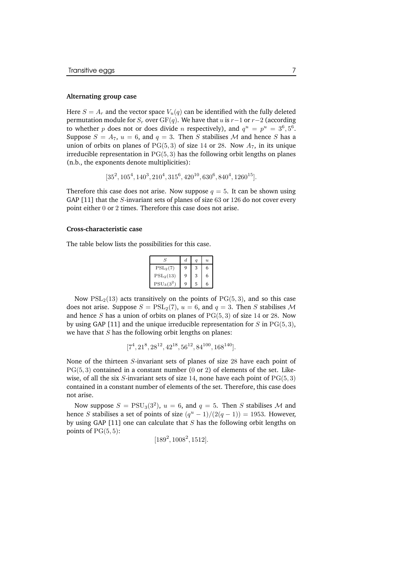#### **Alternating group case**

Here  $S = A_r$  and the vector space  $V_u(q)$  can be identified with the fully deleted permutation module for  $S_r$  over  $GF(q)$ . We have that u is r-1 or r-2 (according to whether p does not or does divide n respectively), and  $q^u = p^u = 3^6, 5^6$ . Suppose  $S = A_7$ ,  $u = 6$ , and  $q = 3$ . Then S stabilises M and hence S has a union of orbits on planes of  $PG(5,3)$  of size 14 or 28. Now  $A_7$ , in its unique irreducible representation in  $PG(5, 3)$  has the following orbit lengths on planes (n.b., the exponents denote multiplicities):

$$
[35^2, 105^4, 140^3, 210^4, 315^6, 420^{10}, 630^6, 840^4, 1260^{15}].
$$

Therefore this case does not arise. Now suppose  $q = 5$ . It can be shown using GAP [11] that the  $S$ -invariant sets of planes of size  $63$  or  $126$  do not cover every point either 0 or 2 times. Therefore this case does not arise.

#### **Cross-characteristic case**

The table below lists the possibilities for this case.

| S                                  | d. |   | $\overline{\mathbf{u}}$ |
|------------------------------------|----|---|-------------------------|
| $PSL_2(7)$                         | 9  | 3 | 6                       |
| $PSL_2(13)$                        | 9  | 3 | 6                       |
| PSU <sub>3</sub> (3 <sup>2</sup> ) | Q  | 5 | 6                       |

Now  $PSL<sub>2</sub>(13)$  acts transitively on the points of  $PG(5, 3)$ , and so this case does not arise. Suppose  $S = \text{PSL}_2(7)$ ,  $u = 6$ , and  $q = 3$ . Then S stabilises M and hence S has a union of orbits on planes of  $PG(5, 3)$  of size 14 or 28. Now by using GAP [11] and the unique irreducible representation for  $S$  in  $PG(5, 3)$ , we have that  $S$  has the following orbit lengths on planes:

$$
[7^4, 21^8, 28^{12}, 42^{18}, 56^{12}, 84^{100}, 168^{140}].
$$

None of the thirteen S-invariant sets of planes of size 28 have each point of  $PG(5, 3)$  contained in a constant number (0 or 2) of elements of the set. Likewise, of all the six S-invariant sets of size 14, none have each point of  $PG(5, 3)$ contained in a constant number of elements of the set. Therefore, this case does not arise.

Now suppose  $S = \text{PSU}_3(3^2)$ ,  $u = 6$ , and  $q = 5$ . Then S stabilises M and hence *S* stabilises a set of points of size  $(q^u - 1)/(2(q - 1)) = 1953$ . However, by using GAP [11] one can calculate that  $S$  has the following orbit lengths on points of  $PG(5, 5)$ :

$$
[189^2, 1008^2, 1512].
$$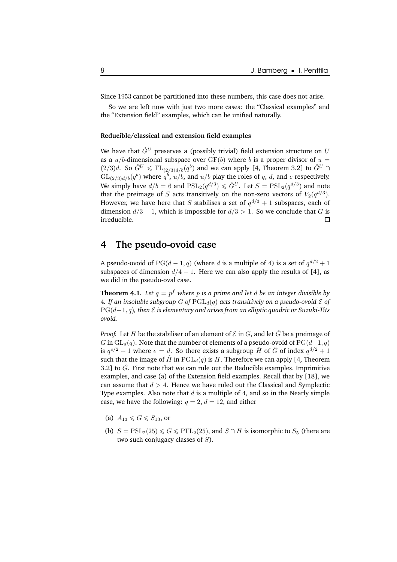Since 1953 cannot be partitioned into these numbers, this case does not arise.

So we are left now with just two more cases: the "Classical examples" and the "Extension field" examples, which can be unified naturally.

### **Reducible/classical and extension field examples**

We have that  $\hat{G}^{U}$  preserves a (possibly trivial) field extension structure on U as a  $u/b$ -dimensional subspace over  $GF(b)$  where b is a proper divisor of  $u =$  $(2/3)d$ . So  $\hat{G}^U \leqslant \Gamma \mathcal{L}_{(2/3)d/b}(q^b)$  and we can apply [4, Theorem 3.2] to  $\hat{G}^U \cap$  $\mathrm{GL}_{(2/3)d/b}(q^b)$  where  $q^b$ ,  $u/b$ , and  $u/b$  play the roles of  $q$ ,  $d$ , and  $e$  respectively. We simply have  $d/b = 6$  and  $\mathrm{PSL}_2(q^{d/3}) \leqslant \hat{G}^U$ . Let  $S = \mathrm{PSL}_2(q^{d/3})$  and note that the preimage of  $S$  acts transitively on the non-zero vectors of  $V_2(q^{d/3}).$ However, we have here that  $S$  stabilises a set of  $q^{d/3}+1$  subspaces, each of dimension  $d/3 - 1$ , which is impossible for  $d/3 > 1$ . So we conclude that *G* is irreducible. □ irreducible.

# **4 The pseudo-ovoid case**

A pseudo-ovoid of  $PG(d-1, q)$  (where d is a multiple of 4) is a set of  $q^{d/2} + 1$ subspaces of dimension  $d/4 - 1$ . Here we can also apply the results of [4], as we did in the pseudo-oval case.

**Theorem 4.1.** *Let* q = p <sup>f</sup> *where* p *is a prime and let* d *be an integer divisible by* 4. If an insoluble subgroup G of  $\text{PGL}_d(q)$  acts transitively on a pseudo-ovoid  $\mathcal E$  of PG(d−1, q)*, then* E *is elementary and arises from an elliptic quadric or Suzuki-Tits ovoid.*

*Proof.* Let H be the stabiliser of an element of  $\mathcal E$  in  $G$ , and let  $\hat G$  be a preimage of G in  $GL_d(q)$ . Note that the number of elements of a pseudo-ovoid of  $PG(d-1, q)$ is  $q^{e/2} + 1$  where  $e = d$ . So there exists a subgroup  $\hat{H}$  of  $\hat{G}$  of index  $q^{d/2} + 1$ such that the image of  $\hat{H}$  in PGL<sub>d</sub>(q) is H. Therefore we can apply [4, Theorem 3.2] to  $\hat{G}$ . First note that we can rule out the Reducible examples, Imprimitive examples, and case (a) of the Extension field examples. Recall that by [18], we can assume that  $d > 4$ . Hence we have ruled out the Classical and Symplectic Type examples. Also note that  $d$  is a multiple of 4, and so in the Nearly simple case, we have the following:  $q = 2$ ,  $d = 12$ , and either

- (a)  $A_{13} \leqslant G \leqslant S_{13}$ , or
- (b)  $S = \text{PSL}_2(25) \le G \le \text{P}\Gamma\text{L}_2(25)$ , and  $S \cap H$  is isomorphic to  $S_5$  (there are two such conjugacy classes of  $S$ ).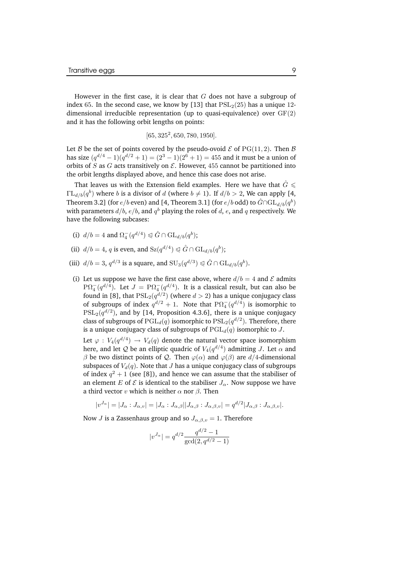However in the first case, it is clear that  $G$  does not have a subgroup of index 65. In the second case, we know by [13] that  $PSL<sub>2</sub>(25)$  has a unique 12dimensional irreducible representation (up to quasi-equivalence) over GF(2) and it has the following orbit lengths on points:

 $[65, 325<sup>2</sup>, 650, 780, 1950].$ 

Let B be the set of points covered by the pseudo-ovoid  $\mathcal E$  of PG(11, 2). Then B has size  $(q^{d/4}-1)(q^{d/2}+1)=(2^3-1)(2^6+1)=455$  and it must be a union of orbits of S as G acts transitively on  $\mathcal E$ . However, 455 cannot be partitioned into the orbit lengths displayed above, and hence this case does not arise.

That leaves us with the Extension field examples. Here we have that  $\hat{G} \leq$  $\Gamma L_{d/b}(q^{b})$  where b is a divisor of d (where  $b \neq 1$ ). If  $d/b > 2$ , We can apply [4, Theorem 3.2] (for  $e/b$  even) and [4, Theorem 3.1] (for  $e/b$  odd) to  $\hat{G} \cap \mathrm{GL}_{d/b}(q^{b})$ with parameters  $d/b, \, e/b,$  and  $q^b$  playing the roles of  $d, \, e,$  and  $q$  respectively. We have the following subcases:

- (i)  $d/b = 4$  and  $\Omega_4^-(q^{d/4}) \leq \hat{G} \cap \mathrm{GL}_{d/b}(q^b);$
- (ii)  $d/b = 4$ , q is even, and  $Sz(q^{d/4}) \triangleleft \hat{G} \cap GL_{d/b}(q^{b});$
- (iii)  $d/b = 3$ ,  $q^{d/3}$  is a square, and  $SU_3(q^{d/3}) \triangleleft \hat{G} \cap GL_{d/b}(q^b)$ .
- (i) Let us suppose we have the first case above, where  $d/b = 4$  and  $\mathcal E$  admits  $P\Omega_{4}^{-}(q^{d/4})$ . Let  $J = P\Omega_{4}^{-}(q^{d/4})$ . It is a classical result, but can also be found in [8], that  $PSL_2(q^{d/2})$  (where  $d > 2$ ) has a unique conjugacy class of subgroups of index  $q^{d/2} + 1$ . Note that  $P\Omega_4^-(q^{d/4})$  is isomorphic to  $\mathrm{PSL}_2(q^{d/2})$ , and by [14, Proposition 4.3.6], there is a unique conjugacy class of subgroups of  $\mathrm{PGL}_d(q)$  isomorphic to  $\mathrm{PSL}_2(q^{d/2})$ . Therefore, there is a unique conjugacy class of subgroups of  $PGL_d(q)$  isomorphic to J.

Let  $\varphi: V_4(q^{d/4}) \to V_d(q)$  denote the natural vector space isomorphism here, and let Q be an elliptic quadric of  $V_4(q^{d/4})$  admitting J. Let  $\alpha$  and β be two distinct points of Q. Then  $\varphi(\alpha)$  and  $\varphi(\beta)$  are d/4-dimensional subspaces of  $V_d(q)$ . Note that *J* has a unique conjugacy class of subgroups of index  $q^2 + 1$  (see [8]), and hence we can assume that the stabiliser of an element E of  $\mathcal E$  is identical to the stabiliser  $J_\alpha$ . Now suppose we have a third vector v which is neither  $\alpha$  nor  $\beta$ . Then

$$
|v^{J_{\alpha}}| = |J_{\alpha} : J_{\alpha,v}| = |J_{\alpha} : J_{\alpha,\beta}||J_{\alpha,\beta} : J_{\alpha,\beta,v}| = q^{d/2}|J_{\alpha,\beta} : J_{\alpha,\beta,v}|.
$$

Now *J* is a Zassenhaus group and so  $J_{\alpha,\beta,v} = 1$ . Therefore

$$
|v^{J_{\alpha}}| = q^{d/2} \frac{q^{d/2} - 1}{\gcd(2, q^{d/2} - 1)}
$$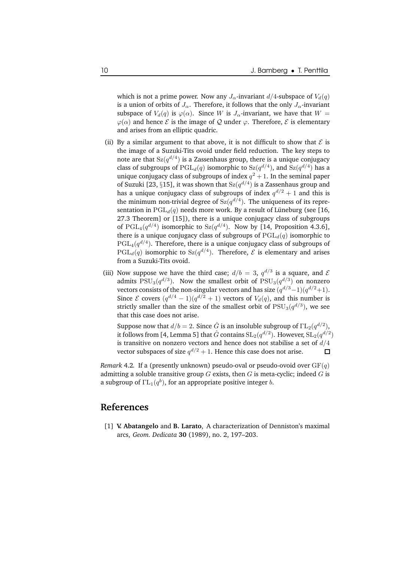which is not a prime power. Now any  $J_{\alpha}$ -invariant  $d/4$ -subspace of  $V_d(q)$ is a union of orbits of  $J_{\alpha}$ . Therefore, it follows that the only  $J_{\alpha}$ -invariant subspace of  $V_d(q)$  is  $\varphi(\alpha)$ . Since W is  $J_\alpha$ -invariant, we have that  $W =$  $\varphi(\alpha)$  and hence  $\mathcal E$  is the image of  $\mathcal Q$  under  $\varphi$ . Therefore,  $\mathcal E$  is elementary and arises from an elliptic quadric.

- (ii) By a similar argument to that above, it is not difficult to show that  $\mathcal E$  is the image of a Suzuki-Tits ovoid under field reduction. The key steps to note are that  $\operatorname{Sz}(q^{d/4})$  is a Zassenhaus group, there is a unique conjugacy class of subgroups of  $\operatorname{PGL}_d(q)$  isomorphic to  $\operatorname{Sz}(q^{d/4})$ , and  $\operatorname{Sz}(q^{d/4})$  has a unique conjugacy class of subgroups of index  $q^2 + 1$ . In the seminal paper of Suzuki [23,  $\S 15$ ], it was shown that  $Sz(q^{d/4})$  is a Zassenhaus group and has a unique conjugacy class of subgroups of index  $q^{d/2}+1$  and this is the minimum non-trivial degree of  $\text{Sz}(q^{d/4})$ . The uniqueness of its representation in  $PGL_d(q)$  needs more work. By a result of Lüneburg (see [16, 27.3 Theorem] or [15]), there is a unique conjugacy class of subgroups of  $\mathrm{PGL}_4(q^{d/4})$  isomorphic to  $\mathrm{Sz}(q^{d/4})$ . Now by [14, Proposition 4.3.6], there is a unique conjugacy class of subgroups of  $PGL_d(q)$  isomorphic to  ${\rm PGL}_4(q^{d/4}).$  Therefore, there is a unique conjugacy class of subgroups of  $PGL_d(q)$  isomorphic to  $Sz(q^{d/4})$ . Therefore,  ${\cal E}$  is elementary and arises from a Suzuki-Tits ovoid.
- (iii) Now suppose we have the third case;  $d/b = 3$ ,  $q^{d/3}$  is a square, and  $\mathcal{E}$ admits  $\mathrm{PSU}_3(q^{d/3}).$  Now the smallest orbit of  $\mathrm{PSU}_3(q^{d/3})$  on nonzero vectors consists of the non-singular vectors and has size  $(q^{d/3}-1)(q^{d/2}+1)$ . Since  $\mathcal E$  covers  $(q^{d/4} - 1)(q^{d/2} + 1)$  vectors of  $V_d(q)$ , and this number is strictly smaller than the size of the smallest orbit of  $\mathrm{PSU}_3(q^{d/3}),$  we see that this case does not arise.

Suppose now that  $d/b=2.$  Since  $\hat{G}$  is an insoluble subgroup of  $\Gamma\mathrm{L}_{2}(q^{d/2}),$ it follows from [4, Lemma 5] that  $\hat{G}$  contains  $\mathrm{SL}_2(q^{d/2})$ . However,  $\mathrm{SL}_2(q^{d/2})$ is transitive on nonzero vectors and hence does not stabilise a set of  $d/4$ vector subspaces of size  $q^{d/2} + 1$ . Hence this case does not arise. 口

*Remark* 4.2. If a (presently unknown) pseudo-oval or pseudo-ovoid over  $GF(q)$ admitting a soluble transitive group  $G$  exists, then  $G$  is meta-cyclic; indeed  $G$  is a subgroup of  $\mathrm{TL}_1(q^b),$  for an appropriate positive integer  $b.$ 

# **References**

[1] **V. Abatangelo** and **B. Larato**, A characterization of Denniston's maximal arcs, *Geom. Dedicata* **30** (1989), no. 2, 197–203.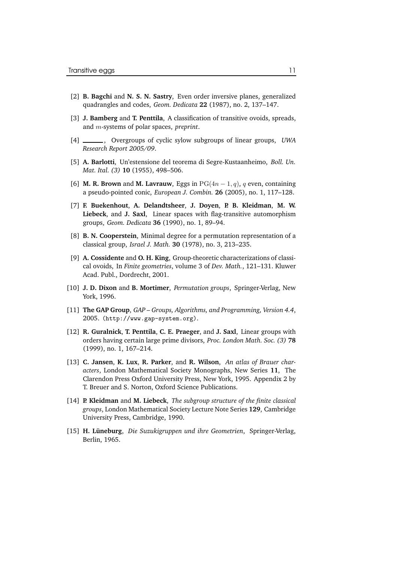- [2] **B. Bagchi** and **N. S. N. Sastry**, Even order inversive planes, generalized quadrangles and codes, *Geom. Dedicata* **22** (1987), no. 2, 137–147.
- [3] **J. Bamberg** and **T. Penttila**, A classification of transitive ovoids, spreads, and m-systems of polar spaces, *preprint*.
- [4] , Overgroups of cyclic sylow subgroups of linear groups, *UWA Research Report 2005/09*.
- [5] **A. Barlotti**, Un'estensione del teorema di Segre-Kustaanheimo, *Boll. Un. Mat. Ital. (3)* **10** (1955), 498–506.
- [6] **M. R. Brown** and **M. Lavrauw**, Eggs in  $PG(4n-1, q)$ , q even, containing a pseudo-pointed conic, *European J. Combin.* **26** (2005), no. 1, 117–128.
- [7] **F. Buekenhout**, **A. Delandtsheer**, **J. Doyen**, **P. B. Kleidman**, **M. W. Liebeck**, and **J. Saxl**, Linear spaces with flag-transitive automorphism groups, *Geom. Dedicata* **36** (1990), no. 1, 89–94.
- [8] **B. N. Cooperstein**, Minimal degree for a permutation representation of a classical group, *Israel J. Math.* **30** (1978), no. 3, 213–235.
- [9] **A. Cossidente** and **O. H. King**, Group-theoretic characterizations of classical ovoids, In *Finite geometries*, volume 3 of *Dev. Math.*, 121–131. Kluwer Acad. Publ., Dordrecht, 2001.
- [10] **J. D. Dixon** and **B. Mortimer**, *Permutation groups*, Springer-Verlag, New York, 1996.
- [11] **The GAP Group**, *GAP – Groups, Algorithms, and Programming, Version 4.4*, 2005. (http://www.gap-system.org).
- [12] **R. Guralnick**, **T. Penttila**, **C. E. Praeger**, and **J. Saxl**, Linear groups with orders having certain large prime divisors, *Proc. London Math. Soc. (3)* **78** (1999), no. 1, 167–214.
- [13] **C. Jansen**, **K. Lux**, **R. Parker**, and **R. Wilson**, *An atlas of Brauer characters*, London Mathematical Society Monographs, New Series **11**, The Clarendon Press Oxford University Press, New York, 1995. Appendix 2 by T. Breuer and S. Norton, Oxford Science Publications.
- [14] **P. Kleidman** and **M. Liebeck**, *The subgroup structure of the finite classical groups*, London Mathematical Society Lecture Note Series **129**, Cambridge University Press, Cambridge, 1990.
- [15] **H. Luneburg ¨** , *Die Suzukigruppen und ihre Geometrien*, Springer-Verlag, Berlin, 1965.